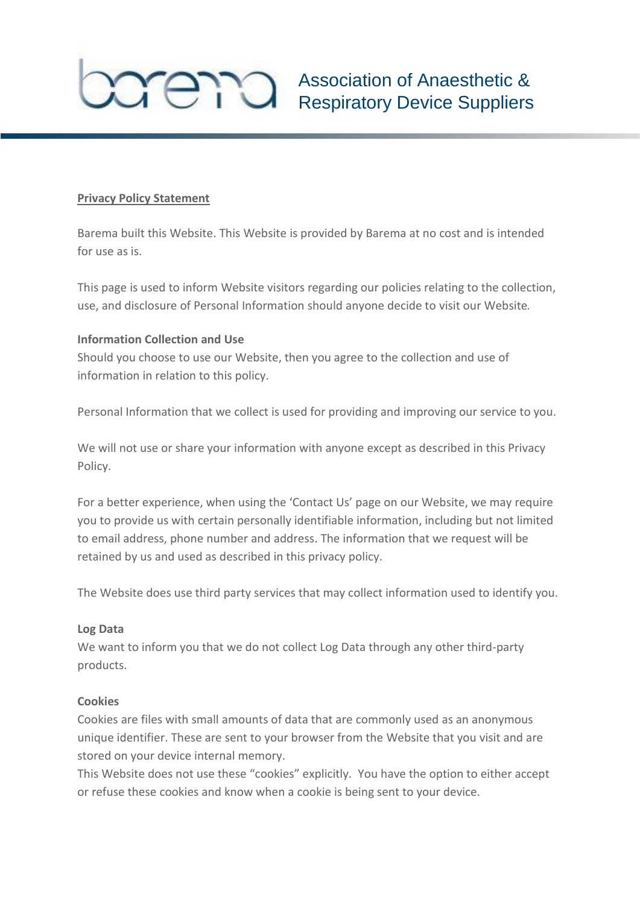

### **Privacy Policy Statement**

Barema built this Website. This Website is provided by Barema at no cost and is intended for use as is.

This page is used to inform Website visitors regarding our policies relating to the collection, use, and disclosure of Personal Information should anyone decide to visit our Website.

### **Information Collection and Use**

Should you choose to use our Website, then you agree to the collection and use of information in relation to this policy.

Personal Information that we collect is used for providing and improving our service to you.

We will not use or share your information with anyone except as described in this Privacy Policy.

For a better experience, when using the 'Contact Us' page on our Website, we may require you to provide us with certain personally identifiable information, including but not limited to email address, phone number and address. The information that we request will be retained by us and used as described in this privacy policy.

The Website does use third party services that may collect information used to identify you.

### **Log Data**

We want to inform you that we do not collect Log Data through any other third-party products.

### **Cookies**

Cookies are files with small amounts of data that are commonly used as an anonymous unique identifier. These are sent to your browser from the Website that you visit and are stored on your device internal memory.

This Website does not use these "cookies" explicitly. You have the option to either accept or refuse these cookies and know when a cookie is being sent to your device.